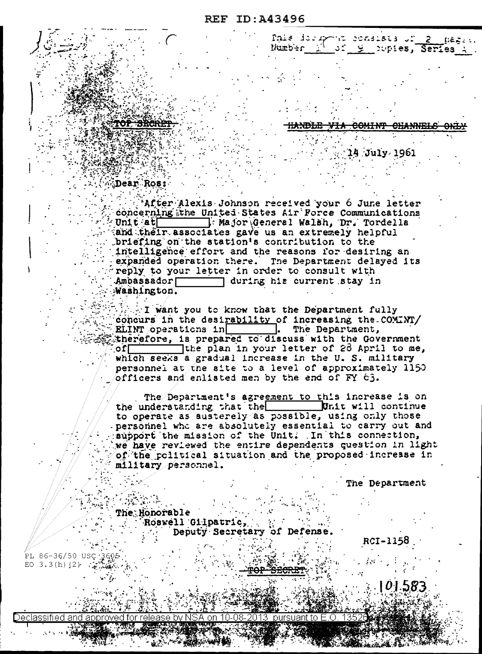DEECT.

Pais desapora consists un 2.

Number M of 9 Supies, Series A

14 July 1961

## Dear Ros:

'After Alexis Johnson received your 6 June letter concerning the United States Air Force Communications Major General Walsh, Dr. Tordella  $Unit$ at and their associates gave us an extremely helpful briefing on the station's contribution to the intelligence effort and the reasons for desiring an expanded operation there. The Department delayed its reply to your letter in order to consult with Ambassador during his current stay in Washington.

I want you to know that the Department fully concurs in the desirability of increasing the COMINT/ ELINT operations in The Department, therefore, is prepared to discuss with the Government the plan in your letter of 26 April to me,  $\circ$ f $\Gamma$ which seeks a gradual increase in the U.S. military personnel at the site to a level of approximately 1150 officers and enlisted men by the end of FY 63.

The Department's agreement to this increase is on the understanding that the **Init will** continue to operate as austerely as possible, using only those personnel who are absolutely essential to carry out and support the mission of the Unit. In this connection, we have reviewed the entire dependents question in light of the political situation and the proposed increase in military personnel.

The Department

The Honorable Roswell Gilpatric, Deputy Secretary of Defense.

RCI-1158

PL 86-36/50 USC 3605 EO 3.3(h)  $(2)$